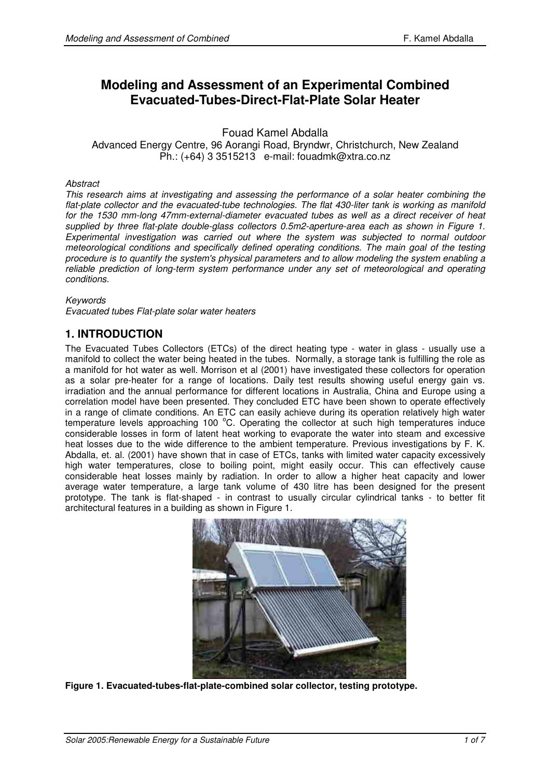# **Modeling and Assessment of an Experimental Combined Evacuated-Tubes-Direct-Flat-Plate Solar Heater**

Fouad Kamel Abdalla

Advanced Energy Centre, 96 Aorangi Road, Bryndwr, Christchurch, New Zealand Ph.: (+64) 3 3515213 e-mail: fouadmk@xtra.co.nz

#### **Abstract**

This research aims at investigating and assessing the performance of a solar heater combining the flat-plate collector and the evacuated-tube technologies. The flat 430-liter tank is working as manifold for the 1530 mm-long 47mm-external-diameter evacuated tubes as well as a direct receiver of heat supplied by three flat-plate double-glass collectors 0.5m2-aperture-area each as shown in Figure 1. Experimental investigation was carried out where the system was subjected to normal outdoor meteorological conditions and specifically defined operating conditions. The main goal of the testing procedure is to quantify the system's physical parameters and to allow modeling the system enabling a reliable prediction of long-term system performance under any set of meteorological and operating conditions.

#### Keywords

Evacuated tubes Flat-plate solar water heaters

### **1. INTRODUCTION**

The Evacuated Tubes Collectors (ETCs) of the direct heating type - water in glass - usually use a manifold to collect the water being heated in the tubes. Normally, a storage tank is fulfilling the role as a manifold for hot water as well. Morrison et al (2001) have investigated these collectors for operation as a solar pre-heater for a range of locations. Daily test results showing useful energy gain vs. irradiation and the annual performance for different locations in Australia, China and Europe using a correlation model have been presented. They concluded ETC have been shown to operate effectively in a range of climate conditions. An ETC can easily achieve during its operation relatively high water temperature levels approaching 100 °C. Operating the collector at such high temperatures induce considerable losses in form of latent heat working to evaporate the water into steam and excessive heat losses due to the wide difference to the ambient temperature. Previous investigations by F. K. Abdalla, et. al. (2001) have shown that in case of ETCs, tanks with limited water capacity excessively high water temperatures, close to boiling point, might easily occur. This can effectively cause considerable heat losses mainly by radiation. In order to allow a higher heat capacity and lower average water temperature, a large tank volume of 430 litre has been designed for the present prototype. The tank is flat-shaped - in contrast to usually circular cylindrical tanks - to better fit architectural features in a building as shown in Figure 1.



**Figure 1. Evacuated-tubes-flat-plate-combined solar collector, testing prototype.**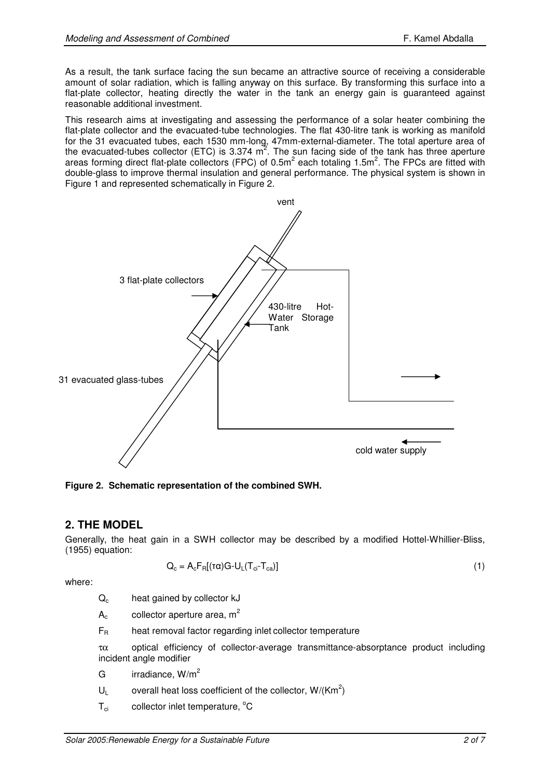As a result, the tank surface facing the sun became an attractive source of receiving a considerable amount of solar radiation, which is falling anyway on this surface. By transforming this surface into a flat-plate collector, heating directly the water in the tank an energy gain is quaranteed against reasonable additional investment.

This research aims at investigating and assessing the performance of a solar heater combining the flat-plate collector and the evacuated-tube technologies. The flat 430-litre tank is working as manifold for the 31 evacuated tubes, each 1530 mm-long, 47mm-external-diameter. The total aperture area of the evacuated-tubes collector (ETC) is 3.374  $m^2$ . The sun facing side of the tank has three aperture areas forming direct flat-plate collectors (FPC) of 0.5m<sup>2</sup> each totaling 1.5m<sup>2</sup>. The FPCs are fitted with double-glass to improve thermal insulation and general performance. The physical system is shown in Figure 1 and represented schematically in Figure 2.



**Figure 2. Schematic representation of the combined SWH.** 

# **2. THE MODEL**

Generally, the heat gain in a SWH collector may be described by a modified Hottel-Whillier-Bliss, (1955) equation:

$$
Q_c = A_c F_R[(\tau \alpha) G - U_L (T_{ci} - T_{ca})]
$$
\n
$$
(1)
$$

where:

 $Q<sub>c</sub>$  heat gained by collector kJ

 $A_c$  collector aperture area, m<sup>2</sup>

$$
F_R
$$
 heat removal factor regarding inlet collector temperature

τα optical efficiency of collector-average transmittance-absorptance product including incident angle modifier

- G  $irradiance, W/m<sup>2</sup>$
- $U_L$  overall heat loss coefficient of the collector, W/(Km<sup>2</sup>)
- $T_{ci}$  collector inlet temperature,  $^{\circ}$ C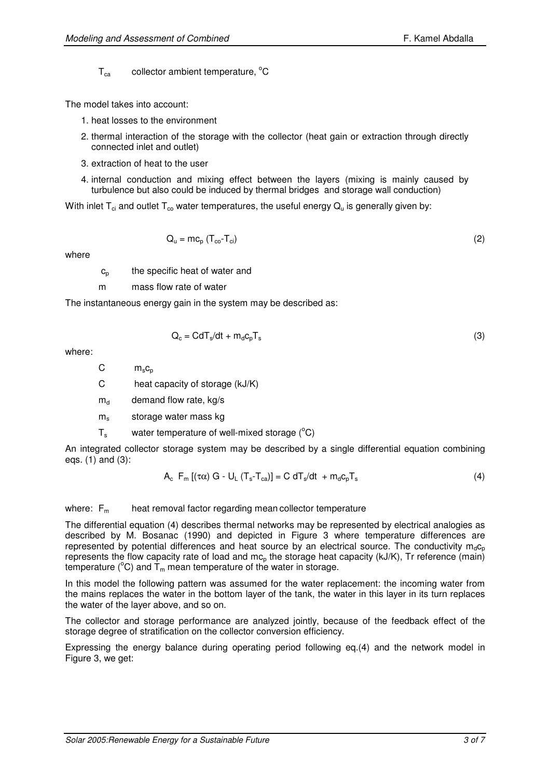$T_{ca}$  collector ambient temperature,  $^{\circ}C$ 

The model takes into account:

- 1. heat losses to the environment
- 2. thermal interaction of the storage with the collector (heat gain or extraction through directly connected inlet and outlet)
- 3. extraction of heat to the user
- 4. internal conduction and mixing effect between the layers (mixing is mainly caused by turbulence but also could be induced by thermal bridges and storage wall conduction)

With inlet  $T_{ci}$  and outlet  $T_{co}$  water temperatures, the useful energy  $Q_{u}$  is generally given by:

$$
Q_{u} = mc_{p} (T_{co} - T_{ci})
$$
 (2)

where

 $c_p$  the specific heat of water and

m mass flow rate of water

The instantaneous energy gain in the system may be described as:

$$
Q_c = CdT_s/dt + m_d c_p T_s
$$
 (3)

where:

 $C \qquad m_s c_p$ 

C heat capacity of storage (kJ/K)

 $m_d$  demand flow rate, kg/s

 $m<sub>s</sub>$  storage water mass kg

 $T_s$  water temperature of well-mixed storage  $(^{\circ}C)$ 

An integrated collector storage system may be described by a single differential equation combining eqs. (1) and (3):

$$
A_{c} F_{m} [(\tau \alpha) G - U_{L} (T_{s} - T_{ca})] = C dT_{s} / dt + m_{d} c_{p} T_{s}
$$
\n(4)

where:  $F_m$  heat removal factor regarding mean collector temperature

The differential equation (4) describes thermal networks may be represented by electrical analogies as described by M. Bosanac (1990) and depicted in Figure 3 where temperature differences are represented by potential differences and heat source by an electrical source. The conductivity  $m_d c_p$ represents the flow capacity rate of load and  $mc<sub>p</sub>$  the storage heat capacity (kJ/K), Tr reference (main) temperature ( $^{\circ}$ C) and  $T_m$  mean temperature of the water in storage.

In this model the following pattern was assumed for the water replacement: the incoming water from the mains replaces the water in the bottom layer of the tank, the water in this layer in its turn replaces the water of the layer above, and so on.

The collector and storage performance are analyzed jointly, because of the feedback effect of the storage degree of stratification on the collector conversion efficiency.

Expressing the energy balance during operating period following eq.(4) and the network model in Figure 3, we get: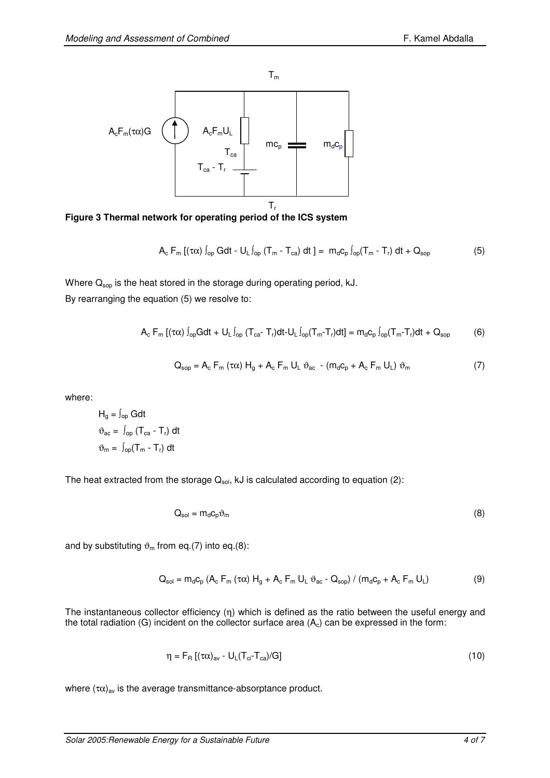



$$
A_{\rm c} \ F_{\rm m} \left[ \left( \tau \alpha \right) \int_{\rm op} G dt - U_{\rm L} \int_{\rm op} \left( T_{\rm m} - T_{\rm ca} \right) dt \ \right] = \ m_{\rm d} c_{\rm p} \int_{\rm op} \left( T_{\rm m} - T_{\rm r} \right) dt + Q_{\rm sop} \tag{5}
$$

Where  $Q_{\text{sop}}$  is the heat stored in the storage during operating period, kJ. By rearranging the equation (5) we resolve to:

$$
A_c F_m [( \tau \alpha) \int_{op} G dt + U_L \int_{op} (T_{ca} - T_r) dt - U_L \int_{op} (T_m - T_r) dt] = m_d c_p \int_{op} (T_m - T_r) dt + Q_{sop}
$$
 (6)

$$
Q_{\text{sop}} = A_{\text{c}} F_{\text{m}} (\tau \alpha) H_{g} + A_{\text{c}} F_{\text{m}} U_{\text{L}} \vartheta_{\text{ac}} - (m_{\text{d}} c_{\text{p}} + A_{\text{c}} F_{\text{m}} U_{\text{L}}) \vartheta_{\text{m}}
$$
(7)

where:

$$
H_g = \int_{op} G dt
$$
  
\n
$$
\vartheta_{ac} = \int_{op} (T_{ca} - T_r) dt
$$
  
\n
$$
\vartheta_m = \int_{op} (T_m - T_r) dt
$$

The heat extracted from the storage  $Q_{sol}$ , kJ is calculated according to equation (2):

$$
Q_{sol} = m_d c_p \vartheta_m \tag{8}
$$

and by substituting  $\vartheta_m$  from eq.(7) into eq.(8):

$$
Q_{sol} = m_d c_p (A_c F_m (\tau \alpha) H_g + A_c F_m U_L \vartheta_{ac} - Q_{sop}) / (m_d c_p + A_c F_m U_L)
$$
(9)

The instantaneous collector efficiency (η) which is defined as the ratio between the useful energy and the total radiation (G) incident on the collector surface area  $(A<sub>c</sub>)$  can be expressed in the form:

$$
\eta = F_{\text{R}} \left[ (\tau \alpha)_{\text{av}} - U_{\text{L}} (T_{\text{ci}} - T_{\text{ca}}) / \text{G} \right] \tag{10}
$$

where  $(\tau\alpha)_{\text{av}}$  is the average transmittance-absorptance product.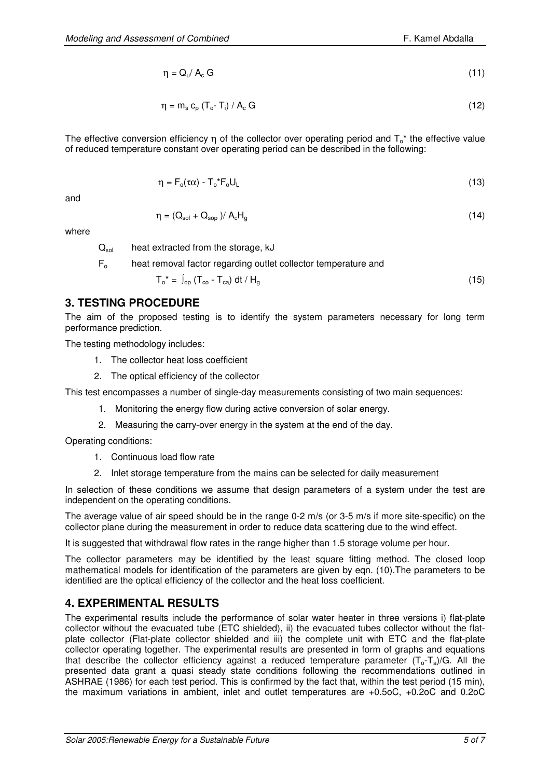$$
\eta = Q_{\nu} / A_{\rm c} \, G \tag{11}
$$

$$
\eta = m_s c_p (T_o - T_i) / A_c G
$$
 (12)

The effective conversion efficiency η of the collector over operating period and  $T_0^*$  the effective value of reduced temperature constant over operating period can be described in the following:

$$
\eta = F_o(\tau \alpha) - T_o^* F_o U_L \tag{13}
$$

and

$$
\eta = (Q_{sol} + Q_{sop})/ A_c H_g \tag{14}
$$

where

 $Q<sub>sol</sub>$  heat extracted from the storage, kJ

F<sub>o</sub> heat removal factor regarding outlet collector temperature and

$$
T_o^* = \int_{op} (T_{co} - T_{ca}) dt / H_g
$$
 (15)

### **3. TESTING PROCEDURE**

The aim of the proposed testing is to identify the system parameters necessary for long term performance prediction.

The testing methodology includes:

- 1. The collector heat loss coefficient
- 2. The optical efficiency of the collector

This test encompasses a number of single-day measurements consisting of two main sequences:

- 1. Monitoring the energy flow during active conversion of solar energy.
- 2. Measuring the carry-over energy in the system at the end of the day.

Operating conditions:

- 1. Continuous load flow rate
- 2. Inlet storage temperature from the mains can be selected for daily measurement

In selection of these conditions we assume that design parameters of a system under the test are independent on the operating conditions.

The average value of air speed should be in the range 0-2 m/s (or 3-5 m/s if more site-specific) on the collector plane during the measurement in order to reduce data scattering due to the wind effect.

It is suggested that withdrawal flow rates in the range higher than 1.5 storage volume per hour.

The collector parameters may be identified by the least square fitting method. The closed loop mathematical models for identification of the parameters are given by eqn. (10).The parameters to be identified are the optical efficiency of the collector and the heat loss coefficient.

# **4. EXPERIMENTAL RESULTS**

The experimental results include the performance of solar water heater in three versions i) flat-plate collector without the evacuated tube (ETC shielded), ii) the evacuated tubes collector without the flatplate collector (Flat-plate collector shielded and iii) the complete unit with ETC and the flat-plate collector operating together. The experimental results are presented in form of graphs and equations that describe the collector efficiency against a reduced temperature parameter  $(T_o - T_a)/G$ . All the presented data grant a quasi steady state conditions following the recommendations outlined in ASHRAE (1986) for each test period. This is confirmed by the fact that, within the test period (15 min), the maximum variations in ambient, inlet and outlet temperatures are +0.5oC, +0.2oC and 0.2oC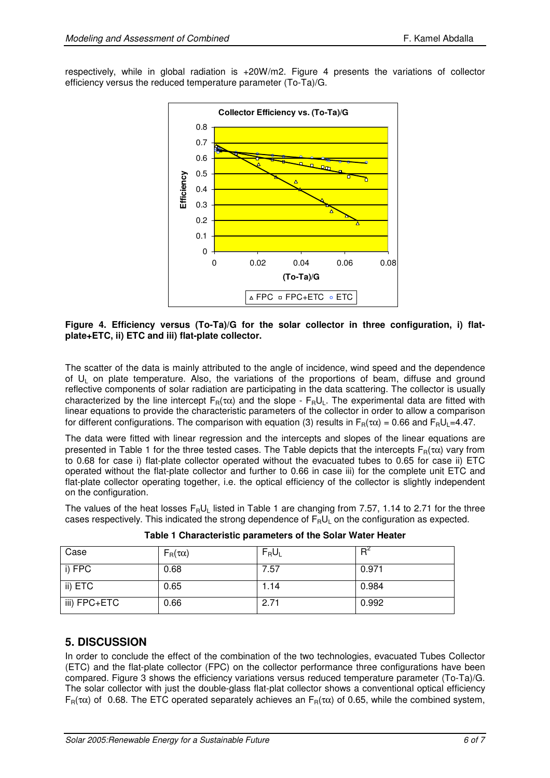respectively, while in global radiation is +20W/m2. Figure 4 presents the variations of collector efficiency versus the reduced temperature parameter (To-Ta)/G.



**Figure 4. Efficiency versus (To-Ta)/G for the solar collector in three configuration, i) flatplate+ETC, ii) ETC and iii) flat-plate collector.** 

The scatter of the data is mainly attributed to the angle of incidence, wind speed and the dependence of UL on plate temperature. Also, the variations of the proportions of beam, diffuse and ground reflective components of solar radiation are participating in the data scattering. The collector is usually characterized by the line intercept  $F_R(\tau\alpha)$  and the slope -  $F_RU_L$ . The experimental data are fitted with linear equations to provide the characteristic parameters of the collector in order to allow a comparison for different configurations. The comparison with equation (3) results in  $F_R(\tau\alpha) = 0.66$  and  $F_RU_I = 4.47$ .

The data were fitted with linear regression and the intercepts and slopes of the linear equations are presented in Table 1 for the three tested cases. The Table depicts that the intercepts  $F_R(\tau \alpha)$  vary from to 0.68 for case i) flat-plate collector operated without the evacuated tubes to 0.65 for case ii) ETC operated without the flat-plate collector and further to 0.66 in case iii) for the complete unit ETC and flat-plate collector operating together, i.e. the optical efficiency of the collector is slightly independent on the configuration.

The values of the heat losses  $F_R U_l$  listed in Table 1 are changing from 7.57, 1.14 to 2.71 for the three cases respectively. This indicated the strong dependence of  $F_RU_L$  on the configuration as expected.

| Case         | $F_R(\tau\alpha)$ | $F_R U_L$ | $R^2$ |
|--------------|-------------------|-----------|-------|
| i) FPC       | 0.68              | 7.57      | 0.971 |
| ii) ETC      | 0.65              | 1.14      | 0.984 |
| iii) FPC+ETC | 0.66              | 2.71      | 0.992 |

**Table 1 Characteristic parameters of the Solar Water Heater** 

### **5. DISCUSSION**

In order to conclude the effect of the combination of the two technologies, evacuated Tubes Collector (ETC) and the flat-plate collector (FPC) on the collector performance three configurations have been compared. Figure 3 shows the efficiency variations versus reduced temperature parameter (To-Ta)/G. The solar collector with just the double-glass flat-plat collector shows a conventional optical efficiency  $F_R(\tau\alpha)$  of 0.68. The ETC operated separately achieves an  $F_R(\tau\alpha)$  of 0.65, while the combined system,